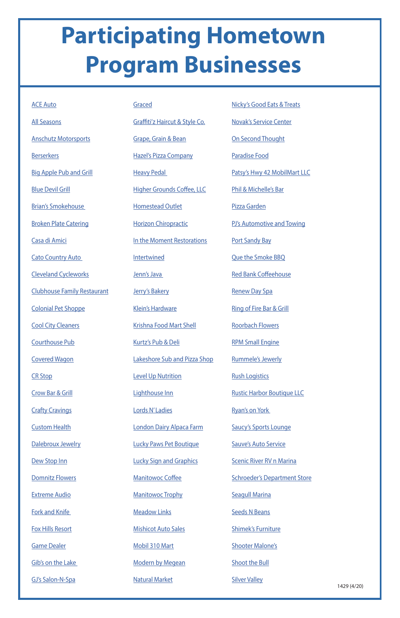## **Participating Hometown Program Businesses**

[Domnitz Flowers](https://www.facebook.com/Domnitz-Flowers-LLC-101850569889591/)

[Extreme Audio](https://www.facebook.com/exaudio/)

[Fork and Knife](https://www.facebook.com/ForkandKnifeRestaurant/) 

[Fox Hills Resort](https://www.facebook.com/FoxHillsResortWI/)

[Game Dealer](https://www.facebook.com/YourGameDealer/)

[Gib's on the Lake](https://www.facebook.com/Gibs-on-the-Lake-280016588690152/)

[GJ's Salon-N-Spa](https://www.facebook.com/gjsalonnspa/)

1429 (4/20)

| <b>ACE Auto</b>                    | Graced                            | <b>Nicky's Good Eats &amp; Treats</b> |
|------------------------------------|-----------------------------------|---------------------------------------|
| <b>All Seasons</b>                 | Graffiti'z Haircut & Style Co.    | <b>Novak's Service Center</b>         |
| <b>Anschutz Motorsports</b>        | Grape, Grain & Bean               | On Second Thought                     |
| <b>Berserkers</b>                  | <b>Hazel's Pizza Company</b>      | <b>Paradise Food</b>                  |
| <b>Big Apple Pub and Grill</b>     | <b>Heavy Pedal</b>                | Patsy's Hwy 42 MobilMart LLC          |
| <b>Blue Devil Grill</b>            | <b>Higher Grounds Coffee, LLC</b> | Phil & Michelle's Bar                 |
| <b>Brian's Smokehouse</b>          | <b>Homestead Outlet</b>           | Pizza Garden                          |
| <b>Broken Plate Catering</b>       | <b>Horizon Chiropractic</b>       | PJ's Automotive and Towing            |
| Casa di Amici                      | In the Moment Restorations        | <b>Port Sandy Bay</b>                 |
| <b>Cato Country Auto</b>           | <b>Intertwined</b>                | <b>Que the Smoke BBQ</b>              |
| <b>Cleveland Cycleworks</b>        | Jenn's Java                       | <b>Red Bank Coffeehouse</b>           |
| <b>Clubhouse Family Restaurant</b> | Jerry's Bakery                    | <b>Renew Day Spa</b>                  |
| <b>Colonial Pet Shoppe</b>         | <b>Klein's Hardware</b>           | <b>Ring of Fire Bar &amp; Grill</b>   |
| <b>Cool City Cleaners</b>          | <b>Krishna Food Mart Shell</b>    | <b>Roorbach Flowers</b>               |
| <b>Courthouse Pub</b>              | Kurtz's Pub & Deli                | <b>RPM Small Engine</b>               |
| <b>Covered Wagon</b>               | Lakeshore Sub and Pizza Shop      | <b>Rummele's Jewerly</b>              |
| <b>CR Stop</b>                     | <b>Level Up Nutrition</b>         | <b>Rush Logistics</b>                 |
| <b>Crow Bar &amp; Grill</b>        | Lighthouse Inn                    | <b>Rustic Harbor Boutique LLC</b>     |
| <b>Crafty Cravings</b>             | Lords N'Ladies                    | <b>Ryan's on York</b>                 |
| <b>Custom Health</b>               | London Dairy Alpaca Farm          | <b>Saucy's Sports Lounge</b>          |
| Dalebroux Jewelry                  | <b>Lucky Paws Pet Boutique</b>    | <b>Sauve's Auto Service</b>           |

[Dew Stop Inn](https://www.facebook.com/pages/Dew-Stop-Inn/145923122099349?__tn__=K-R&eid=ARCtdBZ5AqhNFlgm7JvbYIxuIhz1SMFq3x7zyfL9_wUd0fwmjEivvaKAq5KX-NdO2YGL8VSyhRDbsUuS&fref=mentions&__xts__[0]=68.ARAFflIX_qetMUqY4qwsbwZ_31VuR5LB4Xr8G9mJoESpE4-n3zfFTSh1H36oP83OqZtbNYxMlh-OC24KpQNvIr8e8i_RvluMuKVkTs2XDUVkKVTRbjBkpSm-LQz1U_poVXxodzPGn37VG-6rCi5q_FcprMdX1iidU6VioD_V68NcjTwwxVG3crg)

[Lucky Sign and Graphics](https://www.facebook.com/luckysignsandgraphics/)

[Manitowoc Coffee](https://www.facebook.com/manitowoccoffee/)

**[Manitowoc Trophy](https://www.facebook.com/manitowoc.trophy.9/)** 

**[Meadow Links](https://www.facebook.com/pages/Meadow-Links-Golf-Course-Manitowoc-WI/351524838245780)** 

[Mishicot Auto Sales](https://www.facebook.com/Mishicot-Auto-Sales-135464389837466/)

[Mobil 310 Mart](https://www.facebook.com/pages/Mobil-310-Mart/185068208244014)

[Modern by Megean](https://www.facebook.com/modernbymegean/)

[Natural Market](https://www.facebook.com/Natural-Market-315067675180175/)

**[Scenic River RV n Marina](https://www.facebook.com/SRDockRVnMarina/)** 

[Schroeder's Department Store](https://www.facebook.com/SchroedersStore/?fref=ts)

[Seagull Marina](https://www.facebook.com/Seagull-Marina-and-Campground-113757198656449/)

[Seeds N Beans](https://www.facebook.com/SeedsNBeans/)

[Shimek's Furniture](https://www.facebook.com/shimeksfurniture/)

[Shooter Malone's](https://www.facebook.com/shootermalones/)

[Shoot the Bull](https://www.facebook.com/shootthebull/)

[Silver Valley](https://www.facebook.com/silvervalleybanquethall/)